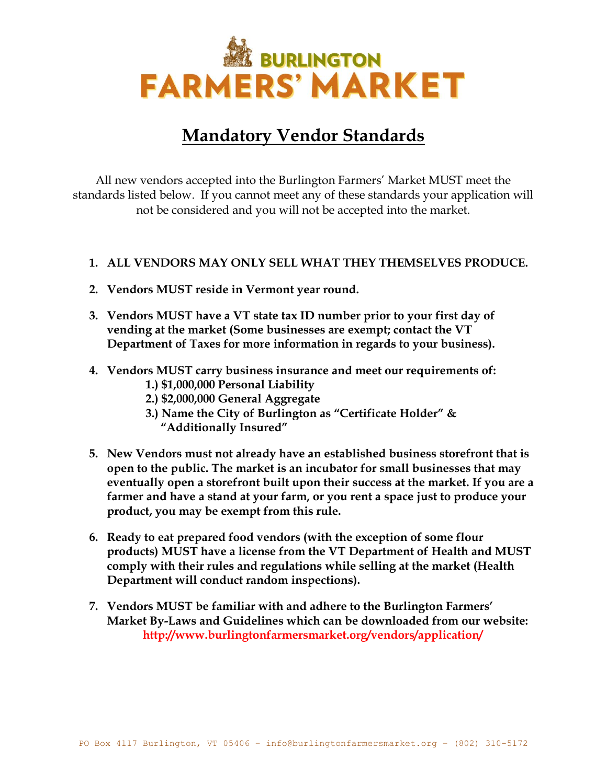

## **Mandatory Vendor Standards**

All new vendors accepted into the Burlington Farmers' Market MUST meet the standards listed below. If you cannot meet any of these standards your application will not be considered and you will not be accepted into the market.

#### **1. ALL VENDORS MAY ONLY SELL WHAT THEY THEMSELVES PRODUCE.**

- **2. Vendors MUST reside in Vermont year round.**
- **3. Vendors MUST have a VT state tax ID number prior to your first day of vending at the market (Some businesses are exempt; contact the VT Department of Taxes for more information in regards to your business).**
- **4. Vendors MUST carry business insurance and meet our requirements of: 1.) \$1,000,000 Personal Liability**
	- **2.) \$2,000,000 General Aggregate**
	- **3.) Name the City of Burlington as "Certificate Holder" & "Additionally Insured"**
- **5. New Vendors must not already have an established business storefront that is open to the public. The market is an incubator for small businesses that may eventually open a storefront built upon their success at the market. If you are a farmer and have a stand at your farm, or you rent a space just to produce your product, you may be exempt from this rule.**
- **6. Ready to eat prepared food vendors (with the exception of some flour products) MUST have a license from the VT Department of Health and MUST comply with their rules and regulations while selling at the market (Health Department will conduct random inspections).**
- **7. Vendors MUST be familiar with and adhere to the Burlington Farmers' Market By-Laws and Guidelines which can be downloaded from our website: http://www.burlingtonfarmersmarket.org/vendors/application/**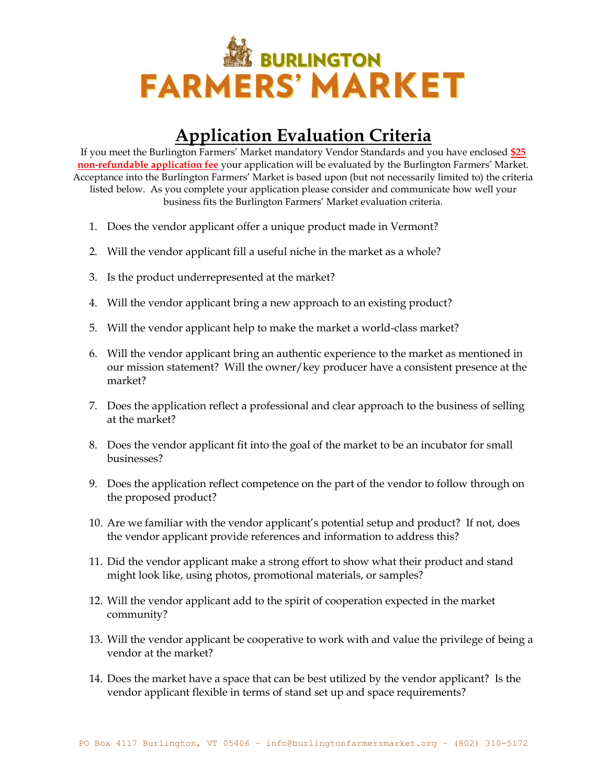

# **Application Evaluation Criteria**

If you meet the Burlington Farmers' Market mandatory Vendor Standards and you have enclosed **\$25 non-refundable application fee** your application will be evaluated by the Burlington Farmers' Market. Acceptance into the Burlington Farmers' Market is based upon (but not necessarily limited to) the criteria listed below. As you complete your application please consider and communicate how well your business fits the Burlington Farmers' Market evaluation criteria.

- 1. Does the vendor applicant offer a unique product made in Vermont?
- 2. Will the vendor applicant fill a useful niche in the market as a whole?
- 3. Is the product underrepresented at the market?
- 4. Will the vendor applicant bring a new approach to an existing product?
- 5. Will the vendor applicant help to make the market a world-class market?
- 6. Will the vendor applicant bring an authentic experience to the market as mentioned in our mission statement? Will the owner/key producer have a consistent presence at the market?
- 7. Does the application reflect a professional and clear approach to the business of selling at the market?
- 8. Does the vendor applicant fit into the goal of the market to be an incubator for small businesses?
- 9. Does the application reflect competence on the part of the vendor to follow through on the proposed product?
- 10. Are we familiar with the vendor applicant's potential setup and product? If not, does the vendor applicant provide references and information to address this?
- 11. Did the vendor applicant make a strong effort to show what their product and stand might look like, using photos, promotional materials, or samples?
- 12. Will the vendor applicant add to the spirit of cooperation expected in the market community?
- 13. Will the vendor applicant be cooperative to work with and value the privilege of being a vendor at the market?
- 14. Does the market have a space that can be best utilized by the vendor applicant? Is the vendor applicant flexible in terms of stand set up and space requirements?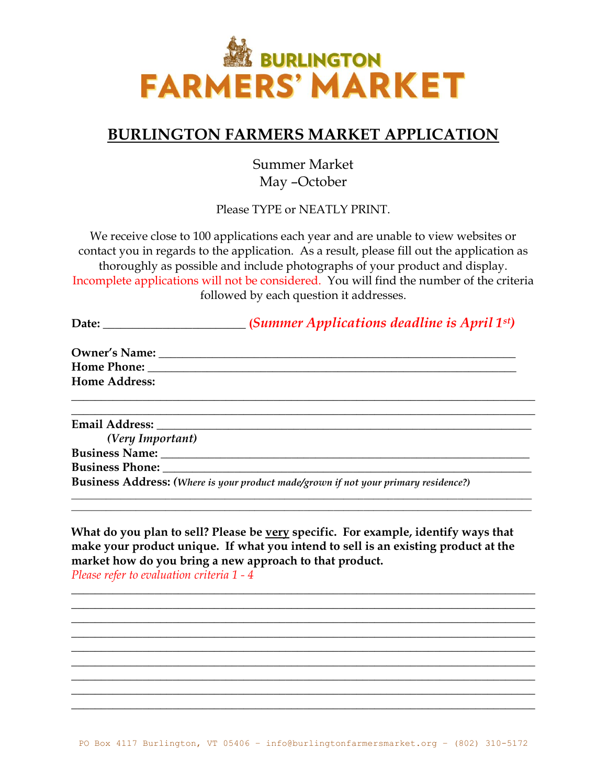

### **BURLINGTON FARMERS MARKET APPLICATION**

Summer Market May –October

Please TYPE or NEATLY PRINT.

We receive close to 100 applications each year and are unable to view websites or contact you in regards to the application. As a result, please fill out the application as thoroughly as possible and include photographs of your product and display. Incomplete applications will not be considered. You will find the number of the criteria followed by each question it addresses.

| Date: $\qquad \qquad$ | (Summer Applications deadline is April $1^{st}$ )                                                                                                                                                                              |
|-----------------------|--------------------------------------------------------------------------------------------------------------------------------------------------------------------------------------------------------------------------------|
|                       |                                                                                                                                                                                                                                |
|                       | Home Phone: The Second Second Second Second Second Second Second Second Second Second Second Second Second Second Second Second Second Second Second Second Second Second Second Second Second Second Second Second Second Sec |
| <b>Home Address:</b>  |                                                                                                                                                                                                                                |
|                       |                                                                                                                                                                                                                                |
|                       |                                                                                                                                                                                                                                |

*(Very Important)* **Business Name:**  $\qquad \qquad$ **Business Phone: Business Address:** *(Where is your product made/grown if not your primary residence?)*

**What do you plan to sell? Please be very specific. For example, identify ways that make your product unique. If what you intend to sell is an existing product at the market how do you bring a new approach to that product.**  *Please refer to evaluation criteria 1 - 4* 

**\_\_\_\_\_\_\_\_\_\_\_\_\_\_\_\_\_\_\_\_\_\_\_\_\_\_\_\_\_\_\_\_\_\_\_\_\_\_\_\_\_\_\_\_\_\_\_\_\_\_\_\_\_\_\_\_\_\_\_\_\_\_\_\_\_\_\_\_\_\_\_\_\_\_\_\_\_\_ \_\_\_\_\_\_\_\_\_\_\_\_\_\_\_\_\_\_\_\_\_\_\_\_\_\_\_\_\_\_\_\_\_\_\_\_\_\_\_\_\_\_\_\_\_\_\_\_\_\_\_\_\_\_\_\_\_\_\_\_\_\_\_\_\_\_\_\_\_\_\_\_\_\_\_\_\_\_ \_\_\_\_\_\_\_\_\_\_\_\_\_\_\_\_\_\_\_\_\_\_\_\_\_\_\_\_\_\_\_\_\_\_\_\_\_\_\_\_\_\_\_\_\_\_\_\_\_\_\_\_\_\_\_\_\_\_\_\_\_\_\_\_\_\_\_\_\_\_\_\_\_\_\_\_\_\_ \_\_\_\_\_\_\_\_\_\_\_\_\_\_\_\_\_\_\_\_\_\_\_\_\_\_\_\_\_\_\_\_\_\_\_\_\_\_\_\_\_\_\_\_\_\_\_\_\_\_\_\_\_\_\_\_\_\_\_\_\_\_\_\_\_\_\_\_\_\_\_\_\_\_\_\_\_\_ \_\_\_\_\_\_\_\_\_\_\_\_\_\_\_\_\_\_\_\_\_\_\_\_\_\_\_\_\_\_\_\_\_\_\_\_\_\_\_\_\_\_\_\_\_\_\_\_\_\_\_\_\_\_\_\_\_\_\_\_\_\_\_\_\_\_\_\_\_\_\_\_\_\_\_\_\_\_ \_\_\_\_\_\_\_\_\_\_\_\_\_\_\_\_\_\_\_\_\_\_\_\_\_\_\_\_\_\_\_\_\_\_\_\_\_\_\_\_\_\_\_\_\_\_\_\_\_\_\_\_\_\_\_\_\_\_\_\_\_\_\_\_\_\_\_\_\_\_\_\_\_\_\_\_\_\_ \_\_\_\_\_\_\_\_\_\_\_\_\_\_\_\_\_\_\_\_\_\_\_\_\_\_\_\_\_\_\_\_\_\_\_\_\_\_\_\_\_\_\_\_\_\_\_\_\_\_\_\_\_\_\_\_\_\_\_\_\_\_\_\_\_\_\_\_\_\_\_\_\_\_\_\_\_\_ \_\_\_\_\_\_\_\_\_\_\_\_\_\_\_\_\_\_\_\_\_\_\_\_\_\_\_\_\_\_\_\_\_\_\_\_\_\_\_\_\_\_\_\_\_\_\_\_\_\_\_\_\_\_\_\_\_\_\_\_\_\_\_\_\_\_\_\_\_\_\_\_\_\_\_\_\_\_ \_\_\_\_\_\_\_\_\_\_\_\_\_\_\_\_\_\_\_\_\_\_\_\_\_\_\_\_\_\_\_\_\_\_\_\_\_\_\_\_\_\_\_\_\_\_\_\_\_\_\_\_\_\_\_\_\_\_\_\_\_\_\_\_\_\_\_\_\_\_\_\_\_\_\_\_\_\_**

**\_\_\_\_\_\_\_\_\_\_\_\_\_\_\_\_\_\_\_\_\_\_\_\_\_\_\_\_\_\_\_\_\_\_\_\_\_\_\_\_\_\_\_\_\_\_\_\_\_\_\_\_\_\_\_\_\_\_\_\_\_\_\_\_\_\_\_\_\_\_\_\_\_\_\_\_\_\_\_\_\_\_\_\_\_\_\_\_\_\_\_\_\_ \_\_\_\_\_\_\_\_\_\_\_\_\_\_\_\_\_\_\_\_\_\_\_\_\_\_\_\_\_\_\_\_\_\_\_\_\_\_\_\_\_\_\_\_\_\_\_\_\_\_\_\_\_\_\_\_\_\_\_\_\_\_\_\_\_\_\_\_\_\_\_\_\_\_\_\_\_\_\_\_\_\_\_\_\_\_\_\_\_\_\_\_\_**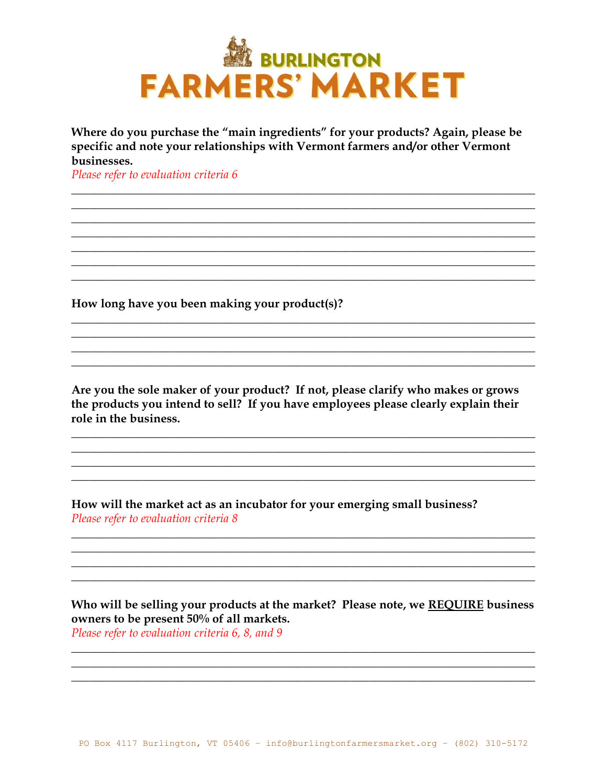

Where do you purchase the "main ingredients" for your products? Again, please be specific and note your relationships with Vermont farmers and/or other Vermont businesses.

<u> 1989 - Johann Harry Harry Harry Harry Harry Harry Harry Harry Harry Harry Harry Harry Harry Harry Harry Harry</u>

Please refer to evaluation criteria 6

How long have you been making your product(s)?

Are you the sole maker of your product? If not, please clarify who makes or grows the products you intend to sell? If you have employees please clearly explain their role in the business.

How will the market act as an incubator for your emerging small business? Please refer to evaluation criteria 8

Who will be selling your products at the market? Please note, we REQUIRE business owners to be present 50% of all markets. Please refer to evaluation criteria 6, 8, and 9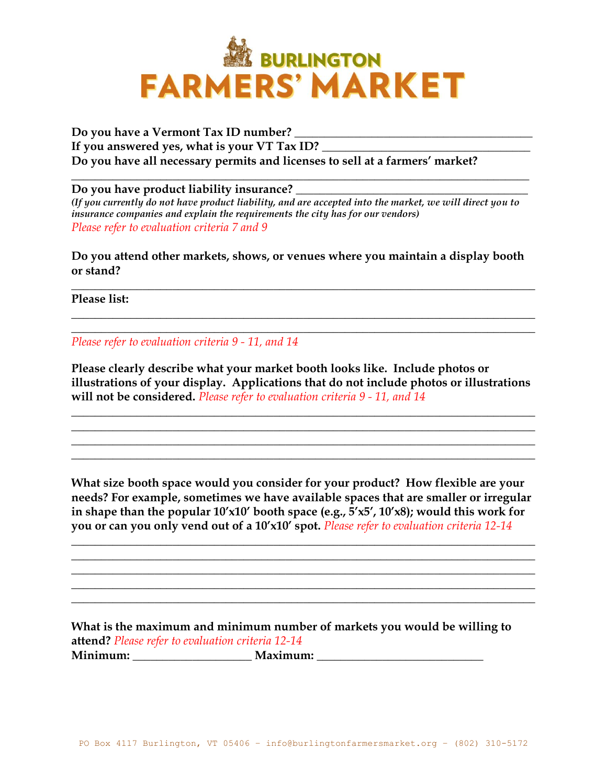

**Do you have a Vermont Tax ID number? \_\_\_\_\_\_\_\_\_\_\_\_\_\_\_\_\_\_\_\_\_\_\_\_\_\_\_\_\_\_\_\_\_\_\_\_\_\_\_\_ If you answered yes, what is your VT Tax ID? \_\_\_\_\_\_\_\_\_\_\_\_\_\_\_\_\_\_\_\_\_\_\_\_\_\_\_\_\_\_\_\_\_\_\_ Do you have all necessary permits and licenses to sell at a farmers' market?**

**Do you have product liability insurance? \_\_\_\_\_\_\_\_\_\_\_\_\_\_\_\_\_\_\_\_\_\_\_\_\_\_\_\_\_\_\_\_\_\_\_\_\_\_\_** *(If you currently do not have product liability, and are accepted into the market, we will direct you to insurance companies and explain the requirements the city has for our vendors) Please refer to evaluation criteria 7 and 9*

**\_\_\_\_\_\_\_\_\_\_\_\_\_\_\_\_\_\_\_\_\_\_\_\_\_\_\_\_\_\_\_\_\_\_\_\_\_\_\_\_\_\_\_\_\_\_\_\_\_\_\_\_\_\_\_\_\_\_\_\_\_\_\_\_\_\_\_\_\_\_\_\_\_\_\_\_\_**

**Do you attend other markets, shows, or venues where you maintain a display booth or stand?** 

**\_\_\_\_\_\_\_\_\_\_\_\_\_\_\_\_\_\_\_\_\_\_\_\_\_\_\_\_\_\_\_\_\_\_\_\_\_\_\_\_\_\_\_\_\_\_\_\_\_\_\_\_\_\_\_\_\_\_\_\_\_\_\_\_\_\_\_\_\_\_\_\_\_\_\_\_\_\_**

**\_\_\_\_\_\_\_\_\_\_\_\_\_\_\_\_\_\_\_\_\_\_\_\_\_\_\_\_\_\_\_\_\_\_\_\_\_\_\_\_\_\_\_\_\_\_\_\_\_\_\_\_\_\_\_\_\_\_\_\_\_\_\_\_\_\_\_\_\_\_\_\_\_\_\_\_\_\_ \_\_\_\_\_\_\_\_\_\_\_\_\_\_\_\_\_\_\_\_\_\_\_\_\_\_\_\_\_\_\_\_\_\_\_\_\_\_\_\_\_\_\_\_\_\_\_\_\_\_\_\_\_\_\_\_\_\_\_\_\_\_\_\_\_\_\_\_\_\_\_\_\_\_\_\_\_\_**

**Please list:**

*Please refer to evaluation criteria 9 - 11, and 14*

**Please clearly describe what your market booth looks like. Include photos or illustrations of your display. Applications that do not include photos or illustrations will not be considered.** *Please refer to evaluation criteria 9 - 11, and 14*

**\_\_\_\_\_\_\_\_\_\_\_\_\_\_\_\_\_\_\_\_\_\_\_\_\_\_\_\_\_\_\_\_\_\_\_\_\_\_\_\_\_\_\_\_\_\_\_\_\_\_\_\_\_\_\_\_\_\_\_\_\_\_\_\_\_\_\_\_\_\_\_\_\_\_\_\_\_\_ \_\_\_\_\_\_\_\_\_\_\_\_\_\_\_\_\_\_\_\_\_\_\_\_\_\_\_\_\_\_\_\_\_\_\_\_\_\_\_\_\_\_\_\_\_\_\_\_\_\_\_\_\_\_\_\_\_\_\_\_\_\_\_\_\_\_\_\_\_\_\_\_\_\_\_\_\_\_ \_\_\_\_\_\_\_\_\_\_\_\_\_\_\_\_\_\_\_\_\_\_\_\_\_\_\_\_\_\_\_\_\_\_\_\_\_\_\_\_\_\_\_\_\_\_\_\_\_\_\_\_\_\_\_\_\_\_\_\_\_\_\_\_\_\_\_\_\_\_\_\_\_\_\_\_\_\_ \_\_\_\_\_\_\_\_\_\_\_\_\_\_\_\_\_\_\_\_\_\_\_\_\_\_\_\_\_\_\_\_\_\_\_\_\_\_\_\_\_\_\_\_\_\_\_\_\_\_\_\_\_\_\_\_\_\_\_\_\_\_\_\_\_\_\_\_\_\_\_\_\_\_\_\_\_\_**

**What size booth space would you consider for your product? How flexible are your needs? For example, sometimes we have available spaces that are smaller or irregular in shape than the popular 10'x10' booth space (e.g., 5'x5', 10'x8); would this work for you or can you only vend out of a 10'x10' spot.** *Please refer to evaluation criteria 12-14*

**\_\_\_\_\_\_\_\_\_\_\_\_\_\_\_\_\_\_\_\_\_\_\_\_\_\_\_\_\_\_\_\_\_\_\_\_\_\_\_\_\_\_\_\_\_\_\_\_\_\_\_\_\_\_\_\_\_\_\_\_\_\_\_\_\_\_\_\_\_\_\_\_\_\_\_\_\_\_ \_\_\_\_\_\_\_\_\_\_\_\_\_\_\_\_\_\_\_\_\_\_\_\_\_\_\_\_\_\_\_\_\_\_\_\_\_\_\_\_\_\_\_\_\_\_\_\_\_\_\_\_\_\_\_\_\_\_\_\_\_\_\_\_\_\_\_\_\_\_\_\_\_\_\_\_\_\_ \_\_\_\_\_\_\_\_\_\_\_\_\_\_\_\_\_\_\_\_\_\_\_\_\_\_\_\_\_\_\_\_\_\_\_\_\_\_\_\_\_\_\_\_\_\_\_\_\_\_\_\_\_\_\_\_\_\_\_\_\_\_\_\_\_\_\_\_\_\_\_\_\_\_\_\_\_\_ \_\_\_\_\_\_\_\_\_\_\_\_\_\_\_\_\_\_\_\_\_\_\_\_\_\_\_\_\_\_\_\_\_\_\_\_\_\_\_\_\_\_\_\_\_\_\_\_\_\_\_\_\_\_\_\_\_\_\_\_\_\_\_\_\_\_\_\_\_\_\_\_\_\_\_\_\_\_ \_\_\_\_\_\_\_\_\_\_\_\_\_\_\_\_\_\_\_\_\_\_\_\_\_\_\_\_\_\_\_\_\_\_\_\_\_\_\_\_\_\_\_\_\_\_\_\_\_\_\_\_\_\_\_\_\_\_\_\_\_\_\_\_\_\_\_\_\_\_\_\_\_\_\_\_\_\_**

**What is the maximum and minimum number of markets you would be willing to attend?** *Please refer to evaluation criteria 12-14* **Minimum: \_\_\_\_\_\_\_\_\_\_\_\_\_\_\_\_\_\_\_\_ Maximum: \_\_\_\_\_\_\_\_\_\_\_\_\_\_\_\_\_\_\_\_\_\_\_\_\_\_\_\_**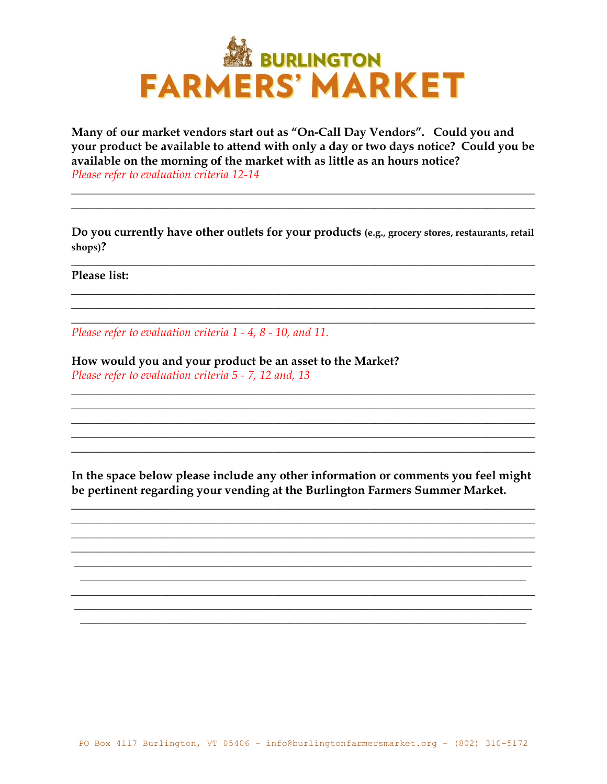

Many of our market vendors start out as "On-Call Day Vendors". Could you and your product be available to attend with only a day or two days notice? Could you be available on the morning of the market with as little as an hours notice? Please refer to evaluation criteria 12-14

Do you currently have other outlets for your products (e.g., grocery stores, restaurants, retail shops)?

Please list:

Please refer to evaluation criteria 1 - 4, 8 - 10, and 11.

How would you and your product be an asset to the Market? Please refer to evaluation criteria 5 - 7, 12 and, 13

In the space below please include any other information or comments you feel might be pertinent regarding your vending at the Burlington Farmers Summer Market.